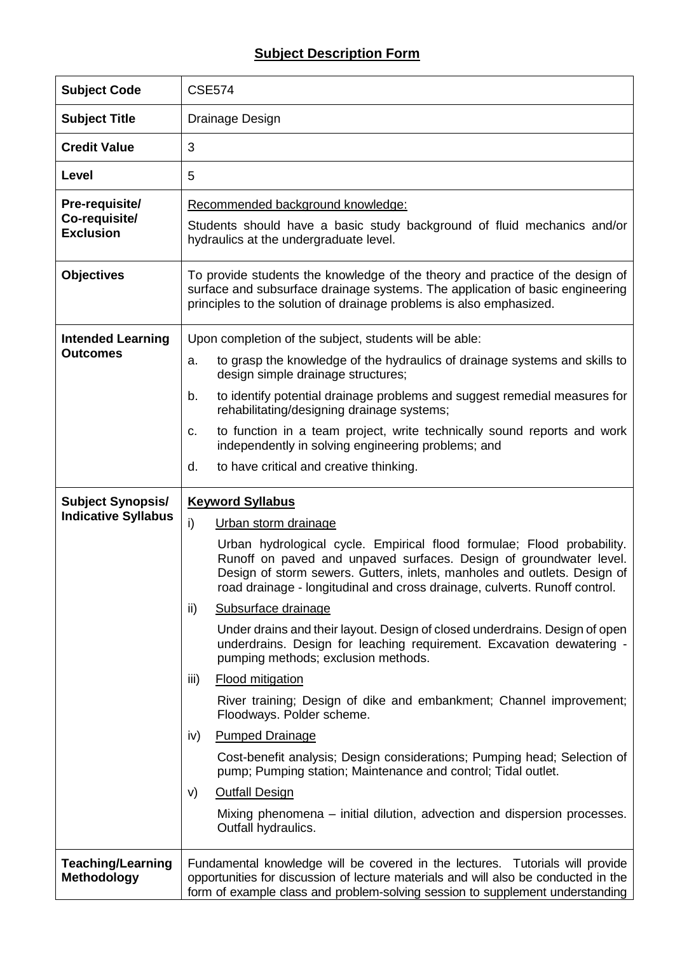## **Subject Description Form**

| <b>Subject Code</b>                                 | <b>CSE574</b>                                                                                                                                                                                                                                                                                          |  |  |  |  |  |  |
|-----------------------------------------------------|--------------------------------------------------------------------------------------------------------------------------------------------------------------------------------------------------------------------------------------------------------------------------------------------------------|--|--|--|--|--|--|
| <b>Subject Title</b>                                | Drainage Design                                                                                                                                                                                                                                                                                        |  |  |  |  |  |  |
| <b>Credit Value</b>                                 | 3                                                                                                                                                                                                                                                                                                      |  |  |  |  |  |  |
| Level                                               | 5                                                                                                                                                                                                                                                                                                      |  |  |  |  |  |  |
| Pre-requisite/<br>Co-requisite/<br><b>Exclusion</b> | Recommended background knowledge:<br>Students should have a basic study background of fluid mechanics and/or<br>hydraulics at the undergraduate level.                                                                                                                                                 |  |  |  |  |  |  |
|                                                     |                                                                                                                                                                                                                                                                                                        |  |  |  |  |  |  |
| <b>Objectives</b>                                   | To provide students the knowledge of the theory and practice of the design of<br>surface and subsurface drainage systems. The application of basic engineering<br>principles to the solution of drainage problems is also emphasized.                                                                  |  |  |  |  |  |  |
| <b>Intended Learning</b>                            | Upon completion of the subject, students will be able:                                                                                                                                                                                                                                                 |  |  |  |  |  |  |
| <b>Outcomes</b>                                     | to grasp the knowledge of the hydraulics of drainage systems and skills to<br>a.<br>design simple drainage structures;                                                                                                                                                                                 |  |  |  |  |  |  |
|                                                     | to identify potential drainage problems and suggest remedial measures for<br>b.<br>rehabilitating/designing drainage systems;                                                                                                                                                                          |  |  |  |  |  |  |
|                                                     | to function in a team project, write technically sound reports and work<br>c.<br>independently in solving engineering problems; and                                                                                                                                                                    |  |  |  |  |  |  |
|                                                     | to have critical and creative thinking.<br>d.                                                                                                                                                                                                                                                          |  |  |  |  |  |  |
| <b>Subject Synopsis/</b>                            | <b>Keyword Syllabus</b>                                                                                                                                                                                                                                                                                |  |  |  |  |  |  |
|                                                     |                                                                                                                                                                                                                                                                                                        |  |  |  |  |  |  |
| <b>Indicative Syllabus</b>                          | i)<br>Urban storm drainage                                                                                                                                                                                                                                                                             |  |  |  |  |  |  |
|                                                     | Urban hydrological cycle. Empirical flood formulae; Flood probability.<br>Runoff on paved and unpaved surfaces. Design of groundwater level.<br>Design of storm sewers. Gutters, inlets, manholes and outlets. Design of<br>road drainage - longitudinal and cross drainage, culverts. Runoff control. |  |  |  |  |  |  |
|                                                     | Subsurface drainage<br>ii)                                                                                                                                                                                                                                                                             |  |  |  |  |  |  |
|                                                     | Under drains and their layout. Design of closed underdrains. Design of open<br>underdrains. Design for leaching requirement. Excavation dewatering -<br>pumping methods; exclusion methods.                                                                                                            |  |  |  |  |  |  |
|                                                     | iii)<br><b>Flood mitigation</b>                                                                                                                                                                                                                                                                        |  |  |  |  |  |  |
|                                                     | River training; Design of dike and embankment; Channel improvement;<br>Floodways. Polder scheme.                                                                                                                                                                                                       |  |  |  |  |  |  |
|                                                     | <b>Pumped Drainage</b><br>iv)                                                                                                                                                                                                                                                                          |  |  |  |  |  |  |
|                                                     | Cost-benefit analysis; Design considerations; Pumping head; Selection of<br>pump; Pumping station; Maintenance and control; Tidal outlet.                                                                                                                                                              |  |  |  |  |  |  |
|                                                     | <b>Outfall Design</b><br>V)                                                                                                                                                                                                                                                                            |  |  |  |  |  |  |
|                                                     | Mixing phenomena – initial dilution, advection and dispersion processes.<br>Outfall hydraulics.                                                                                                                                                                                                        |  |  |  |  |  |  |